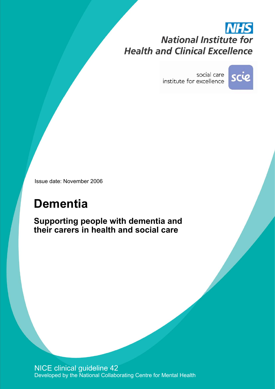# **NHS National Institute for Health and Clinical Excellence**

social care institute for excellence



Issue date: November 2006

# **Dementia**

**Supporting people with dementia and their carers in health and social care** 

NICE clinical guideline 42 Developed by the National Collaborating Centre for Mental Health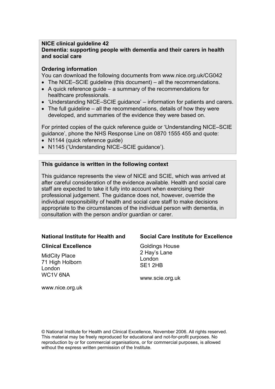#### **NICE clinical guideline 42 Dementia: supporting people with dementia and their carers in health and social care**

#### **Ordering information**

You can download the following documents from www.nice.org.uk/CG042

- $\bullet$  The NICE-SCIE guideline (this document) all the recommendations.
- $\bullet$  A quick reference guide a summary of the recommendations for healthcare professionals.
- $\bullet$  'Understanding NICE-SCIE quidance' information for patients and carers.
- $\bullet$  The full guideline all the recommendations, details of how they were developed, and summaries of the evidence they were based on.

For printed copies of the quick reference quide or 'Understanding NICE–SCIE guidance', phone the NHS Response Line on 0870 1555 455 and quote:

- N1144 (quick reference quide)
- N1145 ('Understanding NICE-SCIE guidance').

#### **This guidance is written in the following context**

This guidance represents the view of NICE and SCIE, which was arrived at after careful consideration of the evidence available. Health and social care staff are expected to take it fully into account when exercising their professional judgement. The guidance does not, however, override the individual responsibility of health and social care staff to make decisions appropriate to the circumstances of the individual person with dementia, in consultation with the person and/or guardian or carer.

### **National Institute for Health and**

#### **Clinical Excellence**

MidCity Place 71 High Holborn London WC1V 6NA

### **Social Care Institute for Excellence**

Goldings House 2 Hay's Lane London SE1 2HB

www.scie.org.uk

www.nice.org.uk

© National Institute for Health and Clinical Excellence, November 2006. All rights reserved. This material may be freely reproduced for educational and not-for-profit purposes. No reproduction by or for commercial organisations, or for commercial purposes, is allowed without the express written permission of the Institute.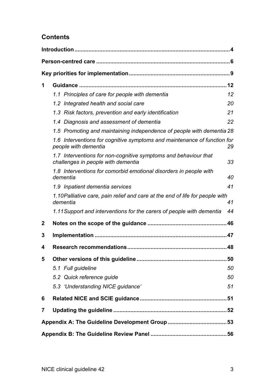# **Contents**

| 1 |                                                                                                       |    |  |
|---|-------------------------------------------------------------------------------------------------------|----|--|
|   | 1.1 Principles of care for people with dementia                                                       | 12 |  |
|   | 1.2 Integrated health and social care                                                                 | 20 |  |
|   | 1.3 Risk factors, prevention and early identification                                                 | 21 |  |
|   | 1.4 Diagnosis and assessment of dementia                                                              | 22 |  |
|   | 1.5 Promoting and maintaining independence of people with dementia 28                                 |    |  |
|   | 1.6 Interventions for cognitive symptoms and maintenance of function for<br>people with dementia      | 29 |  |
|   | 1.7 Interventions for non-cognitive symptoms and behaviour that<br>challenges in people with dementia | 33 |  |
|   | 1.8 Interventions for comorbid emotional disorders in people with<br>dementia                         | 40 |  |
|   | 1.9 Inpatient dementia services                                                                       | 41 |  |
|   | 1.10 Palliative care, pain relief and care at the end of life for people with<br>dementia             | 41 |  |
|   | 1.11 Support and interventions for the carers of people with dementia                                 | 44 |  |
| 2 |                                                                                                       |    |  |
| 3 |                                                                                                       |    |  |
| 4 |                                                                                                       |    |  |
| 5 |                                                                                                       |    |  |
|   | 5.1 Full guideline                                                                                    | 50 |  |
|   | 5.2 Quick reference guide                                                                             | 50 |  |
|   | 5.3 'Understanding NICE guidance'                                                                     | 51 |  |
| 6 |                                                                                                       |    |  |
| 7 |                                                                                                       |    |  |
|   |                                                                                                       |    |  |
|   |                                                                                                       |    |  |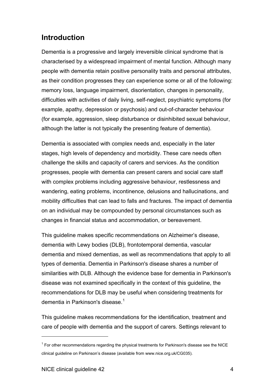# <span id="page-3-0"></span>**Introduction**

Dementia is a progressive and largely irreversible clinical syndrome that is characterised by a widespread impairment of mental function. Although many people with dementia retain positive personality traits and personal attributes, as their condition progresses they can experience some or all of the following: memory loss, language impairment, disorientation, changes in personality, difficulties with activities of daily living, self-neglect, psychiatric symptoms (for example, apathy, depression or psychosis) and out-of-character behaviour (for example, aggression, sleep disturbance or disinhibited sexual behaviour, although the latter is not typically the presenting feature of dementia).

Dementia is associated with complex needs and, especially in the later stages, high levels of dependency and morbidity. These care needs often challenge the skills and capacity of carers and services. As the condition progresses, people with dementia can present carers and social care staff with complex problems including aggressive behaviour, restlessness and wandering, eating problems, incontinence, delusions and hallucinations, and mobility difficulties that can lead to falls and fractures. The impact of dementia on an individual may be compounded by personal circumstances such as changes in financial status and accommodation, or bereavement.

This guideline makes specific recommendations on Alzheimer's disease, dementia with Lewy bodies (DLB), frontotemporal dementia, vascular dementia and mixed dementias, as well as recommendations that apply to all types of dementia. Dementia in Parkinson's disease shares a number of similarities with DLB. Although the evidence base for dementia in Parkinson's disease was not examined specifically in the context of this guideline, the recommendations for DLB may be useful when considering treatments for dementia in Parkinson's disease. $^1$  $^1$ 

This guideline makes recommendations for the identification, treatment and care of people with dementia and the support of carers. Settings relevant to

<span id="page-3-1"></span> $1$  For other recommendations regarding the physical treatments for Parkinson's disease see the NICE clinical guideline on Parkinson's disease (available from www.nice.org.uk/CG035).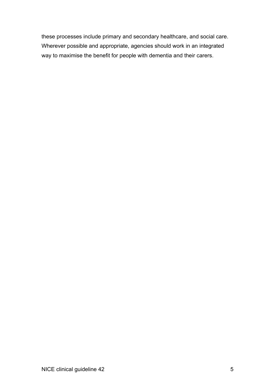these processes include primary and secondary healthcare, and social care. Wherever possible and appropriate, agencies should work in an integrated way to maximise the benefit for people with dementia and their carers.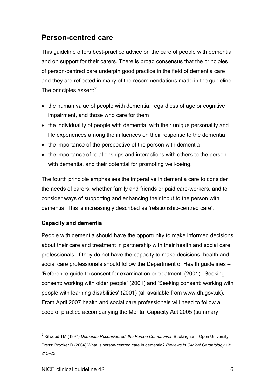# <span id="page-5-0"></span>**Person-centred care**

This guideline offers best-practice advice on the care of people with dementia and on support for their carers. There is broad consensus that the principles of person-centred care underpin good practice in the field of dementia care and they are reflected in many of the recommendations made in the guideline. The principles assert: $2$ 

- the human value of people with dementia, regardless of age or cognitive impairment, and those who care for them
- the individuality of people with dementia, with their unique personality and life experiences among the influences on their response to the dementia
- the importance of the perspective of the person with dementia
- the importance of relationships and interactions with others to the person with dementia, and their potential for promoting well-being.

The fourth principle emphasises the imperative in dementia care to consider the needs of carers, whether family and friends or paid care-workers, and to consider ways of supporting and enhancing their input to the person with dementia. This is increasingly described as 'relationship-centred care'.

## **Capacity and dementia**

People with dementia should have the opportunity to make informed decisions about their care and treatment in partnership with their health and social care professionals. If they do not have the capacity to make decisions, health and social care professionals should follow the Department of Health guidelines -'Reference guide to consent for examination or treatment' (2001), 'Seeking consent: working with older people' (2001) and 'Seeking consent: working with people with learning disabilities' (2001) (all available from www.dh.gov.uk). From April 2007 health and social care professionals will need to follow a code of practice accompanying the Mental Capacity Act 2005 (summary

<span id="page-5-1"></span><sup>2</sup> Kitwood TM (1997) *Dementia Reconsidered: the Person Comes First*. Buckingham: Open University Press; Brooker D (2004) What is person-centred care in dementia? *Reviews in Clinical Gerontology* 13: 215-22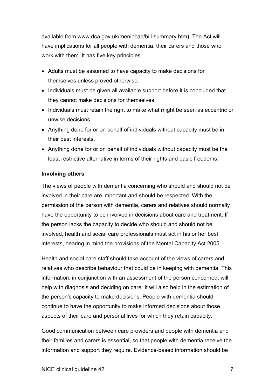available from www.dca.gov.uk/menincap/bill-summary.htm). The Act will have implications for all people with dementia, their carers and those who work with them. It has five key principles.

- Adults must be assumed to have capacity to make decisions for themselves unless proved otherwise.
- Individuals must be given all available support before it is concluded that they cannot make decisions for themselves.
- Individuals must retain the right to make what might be seen as eccentric or unwise decisions.
- Anything done for or on behalf of individuals without capacity must be in their best interests.
- Anything done for or on behalf of individuals without capacity must be the least restrictive alternative in terms of their rights and basic freedoms.

### **Involving others**

The views of people with dementia concerning who should and should not be involved in their care are important and should be respected. With the permission of the person with dementia, carers and relatives should normally have the opportunity to be involved in decisions about care and treatment. If the person lacks the capacity to decide who should and should not be involved, health and social care professionals must act in his or her best interests, bearing in mind the provisions of the Mental Capacity Act 2005.

Health and social care staff should take account of the views of carers and relatives who describe behaviour that could be in keeping with dementia. This information, in conjunction with an assessment of the person concerned, will help with diagnosis and deciding on care. It will also help in the estimation of the person's capacity to make decisions. People with dementia should continue to have the opportunity to make informed decisions about those aspects of their care and personal lives for which they retain capacity.

Good communication between care providers and people with dementia and their families and carers is essential, so that people with dementia receive the information and support they require. Evidence-based information should be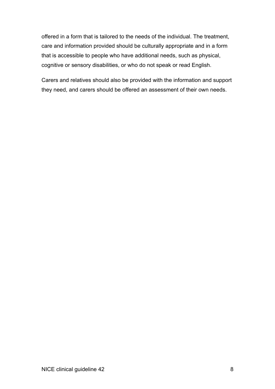offered in a form that is tailored to the needs of the individual. The treatment, care and information provided should be culturally appropriate and in a form that is accessible to people who have additional needs, such as physical, cognitive or sensory disabilities, or who do not speak or read English.

Carers and relatives should also be provided with the information and support they need, and carers should be offered an assessment of their own needs.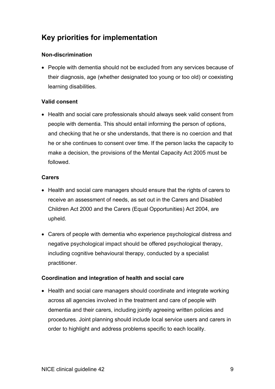# <span id="page-8-0"></span>**Key priorities for implementation**

## **Non-discrimination**

• People with dementia should not be excluded from any services because of their diagnosis, age (whether designated too young or too old) or coexisting learning disabilities.

## **Valid consent**

• Health and social care professionals should always seek valid consent from people with dementia. This should entail informing the person of options, and checking that he or she understands, that there is no coercion and that he or she continues to consent over time. If the person lacks the capacity to make a decision, the provisions of the Mental Capacity Act 2005 must be followed.

## **Carers**

- Health and social care managers should ensure that the rights of carers to receive an assessment of needs, as set out in the Carers and Disabled Children Act 2000 and the Carers (Equal Opportunities) Act 2004, are upheld.
- Carers of people with dementia who experience psychological distress and negative psychological impact should be offered psychological therapy, including cognitive behavioural therapy, conducted by a specialist practitioner.

## **Coordination and integration of health and social care**

• Health and social care managers should coordinate and integrate working across all agencies involved in the treatment and care of people with dementia and their carers, including jointly agreeing written policies and procedures. Joint planning should include local service users and carers in order to highlight and address problems specific to each locality.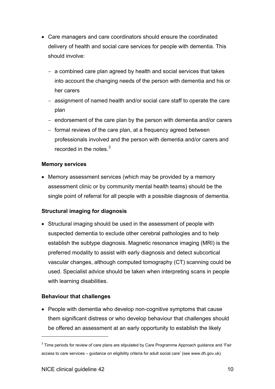- Care managers and care coordinators should ensure the coordinated delivery of health and social care services for people with dementia. This should involve:
	- a combined care plan agreed by health and social services that takes into account the changing needs of the person with dementia and his or her carers
	- assignment of named health and/or social care staff to operate the care plan
	- $-$  endorsement of the care plan by the person with dementia and/or carers
	- $-$  formal reviews of the care plan, at a frequency agreed between professionals involved and the person with dementia and/or carers and recorded in the notes. $3$

## **Memory services**

• Memory assessment services (which may be provided by a memory assessment clinic or by community mental health teams) should be the single point of referral for all people with a possible diagnosis of dementia.

# **Structural imaging for diagnosis**

• Structural imaging should be used in the assessment of people with suspected dementia to exclude other cerebral pathologies and to help establish the subtype diagnosis. Magnetic resonance imaging (MRI) is the preferred modality to assist with early diagnosis and detect subcortical vascular changes, although computed tomography (CT) scanning could be used. Specialist advice should be taken when interpreting scans in people with learning disabilities.

# **Behaviour that challenges**

• People with dementia who develop non-cognitive symptoms that cause them significant distress or who develop behaviour that challenges should be offered an assessment at an early opportunity to establish the likely

<span id="page-9-0"></span> $3$  Time periods for review of care plans are stipulated by Care Programme Approach guidance and 'Fair access to care services - guidance on eligibility criteria for adult social care' (see www.dh.gov.uk).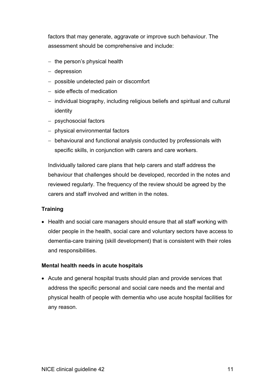factors that may generate, aggravate or improve such behaviour. The assessment should be comprehensive and include:

- $-$  the person's physical health
- depression
- possible undetected pain or discomfort
- side effects of medication
- individual biography, including religious beliefs and spiritual and cultural identity
- psychosocial factors
- $-$  physical environmental factors
- behavioural and functional analysis conducted by professionals with specific skills, in conjunction with carers and care workers.

Individually tailored care plans that help carers and staff address the behaviour that challenges should be developed, recorded in the notes and reviewed regularly. The frequency of the review should be agreed by the carers and staff involved and written in the notes.

# **Training**

• Health and social care managers should ensure that all staff working with older people in the health, social care and voluntary sectors have access to dementia-care training (skill development) that is consistent with their roles and responsibilities.

## **Mental health needs in acute hospitals**

• Acute and general hospital trusts should plan and provide services that address the specific personal and social care needs and the mental and physical health of people with dementia who use acute hospital facilities for any reason.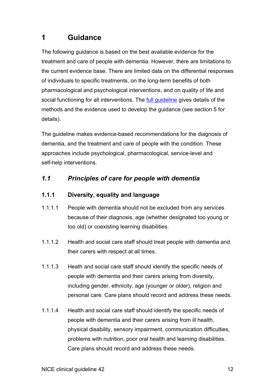# <span id="page-11-0"></span>**1 Guidance**

The following guidance is based on the best available evidence for the treatment and care of people with dementia. However, there are limitations to the current evidence base. There are limited data on the differential responses of individuals to specific treatments, on the long-term benefits of both pharmacological and psychological interventions, and on quality of life and social functioning for all interventions. The [full guideline](http://www.nice.org.uk/CG042fullguideline) gives details of the methods and the evidence used to develop the guidance (see section 5 for details).

The guideline makes evidence-based recommendations for the diagnosis of dementia, and the treatment and care of people with the condition. These approaches include psychological, pharmacological, service-level and self-help interventions.

# *1.1 Principles of care for people with dementia*

# **1.1.1 Diversity, equality and language**

- 1.1.1.1 People with dementia should not be excluded from any services because of their diagnosis, age (whether designated too young or too old) or coexisting learning disabilities.
- 1.1.1.2 Health and social care staff should treat people with dementia and their carers with respect at all times.
- 1.1.1.3 Heath and social care staff should identify the specific needs of people with dementia and their carers arising from diversity, including gender, ethnicity, age (younger or older), religion and personal care. Care plans should record and address these needs.
- 1.1.1.4 Health and social care staff should identify the specific needs of people with dementia and their carers arising from ill health, physical disability, sensory impairment, communication difficulties, problems with nutrition, poor oral health and learning disabilities. Care plans should record and address these needs.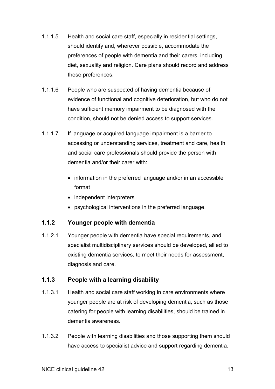- 1.1.1.5 Health and social care staff, especially in residential settings, should identify and, wherever possible, accommodate the preferences of people with dementia and their carers, including diet, sexuality and religion. Care plans should record and address these preferences.
- 1.1.1.6 People who are suspected of having dementia because of evidence of functional and cognitive deterioration, but who do not have sufficient memory impairment to be diagnosed with the condition, should not be denied access to support services.
- 1.1.1.7 If language or acquired language impairment is a barrier to accessing or understanding services, treatment and care, health and social care professionals should provide the person with dementia and/or their carer with:
	- information in the preferred language and/or in an accessible format
	- independent interpreters
	- psychological interventions in the preferred language.

#### **1.1.2 Younger people with dementia**

1.1.2.1 Younger people with dementia have special requirements, and specialist multidisciplinary services should be developed, allied to existing dementia services, to meet their needs for assessment, diagnosis and care.

#### **1.1.3 People with a learning disability**

- 1.1.3.1 Health and social care staff working in care environments where younger people are at risk of developing dementia, such as those catering for people with learning disabilities, should be trained in dementia awareness.
- 1.1.3.2 People with learning disabilities and those supporting them should have access to specialist advice and support regarding dementia.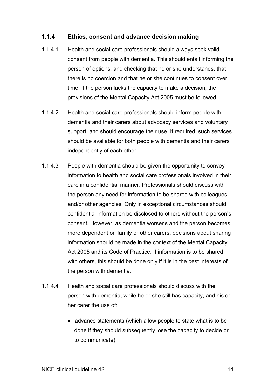## **1.1.4 Ethics, consent and advance decision making**

- 1.1.4.1 Health and social care professionals should always seek valid consent from people with dementia. This should entail informing the person of options, and checking that he or she understands, that there is no coercion and that he or she continues to consent over time. If the person lacks the capacity to make a decision, the provisions of the Mental Capacity Act 2005 must be followed.
- 1.1.4.2 Health and social care professionals should inform people with dementia and their carers about advocacy services and voluntary support, and should encourage their use. If required, such services should be available for both people with dementia and their carers independently of each other.
- 1.1.4.3 People with dementia should be given the opportunity to convey information to health and social care professionals involved in their care in a confidential manner. Professionals should discuss with the person any need for information to be shared with colleagues and/or other agencies. Only in exceptional circumstances should confidential information be disclosed to others without the person's consent. However, as dementia worsens and the person becomes more dependent on family or other carers, decisions about sharing information should be made in the context of the Mental Capacity Act 2005 and its Code of Practice. If information is to be shared with others, this should be done only if it is in the best interests of the person with dementia.
- 1.1.4.4 Health and social care professionals should discuss with the person with dementia, while he or she still has capacity, and his or her carer the use of:
	- $\bullet$  advance statements (which allow people to state what is to be done if they should subsequently lose the capacity to decide or to communicate)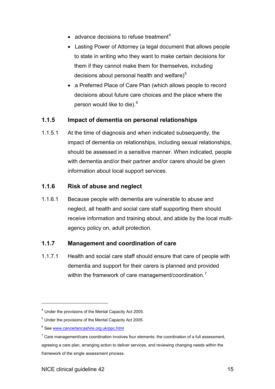- $\bullet$  advance decisions to refuse treatment<sup>[4](#page-14-0)</sup>
- Lasting Power of Attorney (a legal document that allows people to state in writing who they want to make certain decisions for them if they cannot make them for themselves, including decisions about personal health and welfare) $5$
- a Preferred Place of Care Plan (which allows people to record decisions about future care choices and the place where the person would like to die).<sup>[6](#page-14-2)</sup>

#### **1.1.5 Impact of dementia on personal relationships**

1.1.5.1 At the time of diagnosis and when indicated subsequently, the impact of dementia on relationships, including sexual relationships, should be assessed in a sensitive manner. When indicated, people with dementia and/or their partner and/or carers should be given information about local support services.

#### **1.1.6 Risk of abuse and neglect**

1.1.6.1 Because people with dementia are vulnerable to abuse and neglect, all health and social care staff supporting them should receive information and training about, and abide by the local multiagency policy on, adult protection.

#### **1.1.7 Management and coordination of care**

1.1.7.1 Health and social care staff should ensure that care of people with dementia and support for their carers is planned and provided within the framework of care management/coordination.<sup>[7](#page-14-3)</sup>

<span id="page-14-1"></span><span id="page-14-0"></span><sup>4</sup> Under the provisions of the Mental Capacity Act 2005.

<sup>&</sup>lt;sup>5</sup> Under the provisions of the Mental Capacity Act 2005.

<span id="page-14-2"></span><sup>&</sup>lt;sup>6</sup> See [www.cancerlancashire.org.uk/ppc.html](http://www.cancerlancashire.org.uk/ppc.html)

<span id="page-14-3"></span> $7$  Care management/care coordination involves four elements: the coordination of a full assessment,

agreeing a care plan, arranging action to deliver services, and reviewing changing needs within the framework of the single assessment process.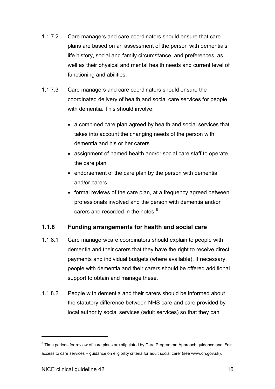- 1.1.7.2 Care managers and care coordinators should ensure that care plans are based on an assessment of the person with dementia's life history, social and family circumstance, and preferences, as well as their physical and mental health needs and current level of functioning and abilities.
- 1.1.7.3 Care managers and care coordinators should ensure the coordinated delivery of health and social care services for people with dementia. This should involve:
	- a combined care plan agreed by health and social services that takes into account the changing needs of the person with dementia and his or her carers
	- assignment of named health and/or social care staff to operate the care plan
	- $\bullet$  endorsement of the care plan by the person with dementia and/or carers
	- formal reviews of the care plan, at a frequency agreed between professionals involved and the person with dementia and/or carers and recorded in the notes. $8$

#### **1.1.8 Funding arrangements for health and social care**

- 1.1.8.1 Care managers/care coordinators should explain to people with dementia and their carers that they have the right to receive direct payments and individual budgets (where available). If necessary, people with dementia and their carers should be offered additional support to obtain and manage these.
- 1.1.8.2 People with dementia and their carers should be informed about the statutory difference between NHS care and care provided by local authority social services (adult services) so that they can

<span id="page-15-0"></span> $8$  Time periods for review of care plans are stipulated by Care Programme Approach guidance and 'Fair access to care services – quidance on eligibility criteria for adult social care' (see www.dh.gov.uk).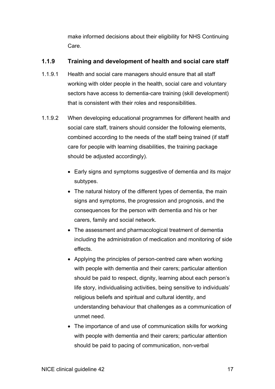make informed decisions about their eligibility for NHS Continuing Care.

# **1.1.9 Training and development of health and social care staff**

- 1.1.9.1 Health and social care managers should ensure that all staff working with older people in the health, social care and voluntary sectors have access to dementia-care training (skill development) that is consistent with their roles and responsibilities.
- 1.1.9.2 When developing educational programmes for different health and social care staff, trainers should consider the following elements, combined according to the needs of the staff being trained (if staff care for people with learning disabilities, the training package should be adjusted accordingly).
	- Early signs and symptoms suggestive of dementia and its major subtypes.
	- $\bullet$  The natural history of the different types of dementia, the main signs and symptoms, the progression and prognosis, and the consequences for the person with dementia and his or her carers, family and social network.
	- The assessment and pharmacological treatment of dementia including the administration of medication and monitoring of side effects.
	- Applying the principles of person-centred care when working with people with dementia and their carers; particular attention should be paid to respect, dignity, learning about each person's life story, individualising activities, being sensitive to individuals' religious beliefs and spiritual and cultural identity, and understanding behaviour that challenges as a communication of unmet need.
	- The importance of and use of communication skills for working with people with dementia and their carers; particular attention should be paid to pacing of communication, non-verbal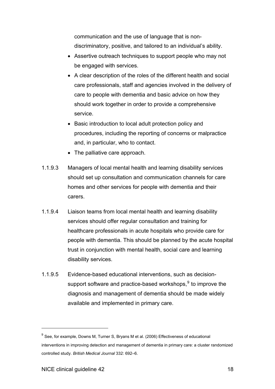communication and the use of language that is nondiscriminatory, positive, and tailored to an individual's ability.

- Assertive outreach techniques to support people who may not be engaged with services.
- A clear description of the roles of the different health and social care professionals, staff and agencies involved in the delivery of care to people with dementia and basic advice on how they should work together in order to provide a comprehensive service.
- Basic introduction to local adult protection policy and procedures, including the reporting of concerns or malpractice and, in particular, who to contact.
- The palliative care approach.
- 1.1.9.3 Managers of local mental health and learning disability services should set up consultation and communication channels for care homes and other services for people with dementia and their carers.
- 1.1.9.4 Liaison teams from local mental health and learning disability services should offer regular consultation and training for healthcare professionals in acute hospitals who provide care for people with dementia. This should be planned by the acute hospital trust in conjunction with mental health, social care and learning disability services.
- 1.1.9.5 Evidence-based educational interventions, such as decisionsupport software and practice-based workshops, $9$  to improve the diagnosis and management of dementia should be made widely available and implemented in primary care.

<span id="page-17-0"></span> $9^9$  See, for example, Downs M, Turner S, Bryans M et al. (2006) Effectiveness of educational interventions in improving detection and management of dementia in primary care: a cluster randomized controlled study. *British Medical Journal* 332: 692-6.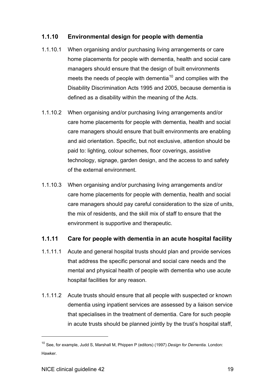#### **1.1.10 Environmental design for people with dementia**

- 1.1.10.1 When organising and/or purchasing living arrangements or care home placements for people with dementia, health and social care managers should ensure that the design of built environments meets the needs of people with dementia<sup>[10](#page-18-0)</sup> and complies with the Disability Discrimination Acts 1995 and 2005, because dementia is defined as a disability within the meaning of the Acts.
- 1.1.10.2 When organising and/or purchasing living arrangements and/or care home placements for people with dementia, health and social care managers should ensure that built environments are enabling and aid orientation. Specific, but not exclusive, attention should be paid to: lighting, colour schemes, floor coverings, assistive technology, signage, garden design, and the access to and safety of the external environment.
- 1.1.10.3 When organising and/or purchasing living arrangements and/or care home placements for people with dementia, health and social care managers should pay careful consideration to the size of units, the mix of residents, and the skill mix of staff to ensure that the environment is supportive and therapeutic.

#### **1.1.11 Care for people with dementia in an acute hospital facility**

- 1.1.11.1 Acute and general hospital trusts should plan and provide services that address the specific personal and social care needs and the mental and physical health of people with dementia who use acute hospital facilities for any reason.
- 1.1.11.2 Acute trusts should ensure that all people with suspected or known dementia using inpatient services are assessed by a liaison service that specialises in the treatment of dementia. Care for such people in acute trusts should be planned jointly by the trust's hospital staff,

<span id="page-18-0"></span><sup>10</sup> See, for example, Judd S, Marshall M, Phippen P (editors) (1997) *Design for Dementia.* London: Hawker.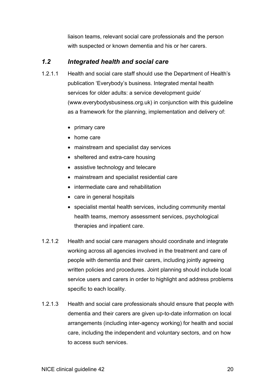liaison teams, relevant social care professionals and the person with suspected or known dementia and his or her carers.

# <span id="page-19-0"></span>*1.2 Integrated health and social care*

- 1.2.1.1 Health and social care staff should use the Department of Health's publication 'Everybody's business. Integrated mental health services for older adults: a service development quide' (www.everybodysbusiness.org.uk) in conjunction with this guideline as a framework for the planning, implementation and delivery of:
	- $\bullet$  primary care
	- $\bullet$  home care
	- mainstream and specialist day services
	- sheltered and extra-care housing
	- assistive technology and telecare
	- mainstream and specialist residential care
	- intermediate care and rehabilitation
	- care in general hospitals
	- specialist mental health services, including community mental health teams, memory assessment services, psychological therapies and inpatient care.
- 1.2.1.2 Health and social care managers should coordinate and integrate working across all agencies involved in the treatment and care of people with dementia and their carers, including jointly agreeing written policies and procedures. Joint planning should include local service users and carers in order to highlight and address problems specific to each locality.
- 1.2.1.3 Health and social care professionals should ensure that people with dementia and their carers are given up-to-date information on local arrangements (including inter-agency working) for health and social care, including the independent and voluntary sectors, and on how to access such services.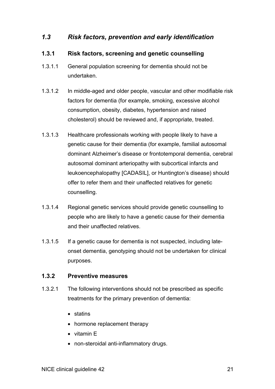# <span id="page-20-0"></span>*1.3 Risk factors, prevention and early identification*

#### **1.3.1 Risk factors, screening and genetic counselling**

- 1.3.1.1 General population screening for dementia should not be undertaken.
- 1.3.1.2 In middle-aged and older people, vascular and other modifiable risk factors for dementia (for example, smoking, excessive alcohol consumption, obesity, diabetes, hypertension and raised cholesterol) should be reviewed and, if appropriate, treated.
- 1.3.1.3 Healthcare professionals working with people likely to have a genetic cause for their dementia (for example, familial autosomal dominant Alzheimer's disease or frontotemporal dementia, cerebral autosomal dominant arteriopathy with subcortical infarcts and leukoencephalopathy [CADASIL], or Huntington's disease) should offer to refer them and their unaffected relatives for genetic counselling.
- 1.3.1.4 Regional genetic services should provide genetic counselling to people who are likely to have a genetic cause for their dementia and their unaffected relatives.
- 1.3.1.5 If a genetic cause for dementia is not suspected, including lateonset dementia, genotyping should not be undertaken for clinical purposes.

#### **1.3.2 Preventive measures**

- 1.3.2.1 The following interventions should not be prescribed as specific treatments for the primary prevention of dementia:
	- $\bullet$  statins
	- hormone replacement therapy
	- $\bullet$  vitamin E
	- non-steroidal anti-inflammatory drugs.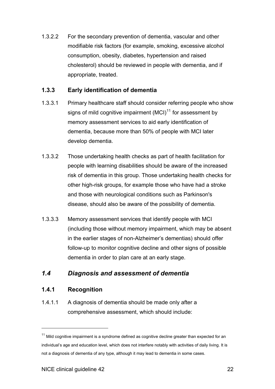<span id="page-21-0"></span>1.3.2.2 For the secondary prevention of dementia, vascular and other modifiable risk factors (for example, smoking, excessive alcohol consumption, obesity, diabetes, hypertension and raised cholesterol) should be reviewed in people with dementia, and if appropriate, treated.

#### **1.3.3 Early identification of dementia**

- 1.3.3.1 Primary healthcare staff should consider referring people who show signs of mild cognitive impairment  $(MCl)<sup>11</sup>$  $(MCl)<sup>11</sup>$  $(MCl)<sup>11</sup>$  for assessment by memory assessment services to aid early identification of dementia, because more than 50% of people with MCI later develop dementia.
- 1.3.3.2 Those undertaking health checks as part of health facilitation for people with learning disabilities should be aware of the increased risk of dementia in this group. Those undertaking health checks for other high-risk groups, for example those who have had a stroke and those with neurological conditions such as Parkinson's disease, should also be aware of the possibility of dementia.
- 1.3.3.3 Memory assessment services that identify people with MCI (including those without memory impairment, which may be absent in the earlier stages of non-Alzheimer's dementias) should offer follow-up to monitor cognitive decline and other signs of possible dementia in order to plan care at an early stage.

# *1.4 Diagnosis and assessment of dementia*

# **1.4.1 Recognition**

l

1.4.1.1 A diagnosis of dementia should be made only after a comprehensive assessment, which should include:

<span id="page-21-1"></span> $11$  Mild cognitive impairment is a syndrome defined as cognitive decline greater than expected for an individual's age and education level, which does not interfere notably with activities of daily living. It is not a diagnosis of dementia of any type, although it may lead to dementia in some cases.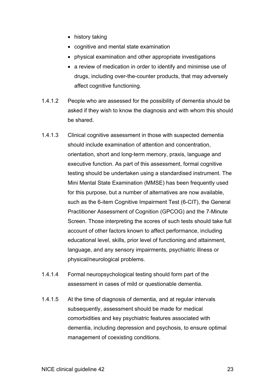- $\bullet$  history taking
- cognitive and mental state examination
- physical examination and other appropriate investigations
- a review of medication in order to identify and minimise use of drugs, including over-the-counter products, that may adversely affect cognitive functioning.
- 1.4.1.2 People who are assessed for the possibility of dementia should be asked if they wish to know the diagnosis and with whom this should be shared.
- 1.4.1.3 Clinical cognitive assessment in those with suspected dementia should include examination of attention and concentration, orientation, short and long-term memory, praxis, language and executive function. As part of this assessment, formal cognitive testing should be undertaken using a standardised instrument. The Mini Mental State Examination (MMSE) has been frequently used for this purpose, but a number of alternatives are now available, such as the 6-item Cognitive Impairment Test (6-CIT), the General Practitioner Assessment of Cognition (GPCOG) and the 7-Minute Screen. Those interpreting the scores of such tests should take full account of other factors known to affect performance, including educational level, skills, prior level of functioning and attainment, language, and any sensory impairments, psychiatric illness or physical/neurological problems.
- 1.4.1.4 Formal neuropsychological testing should form part of the assessment in cases of mild or questionable dementia.
- 1.4.1.5 At the time of diagnosis of dementia, and at regular intervals subsequently, assessment should be made for medical comorbidities and key psychiatric features associated with dementia, including depression and psychosis, to ensure optimal management of coexisting conditions.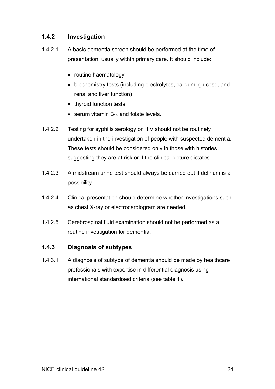#### **1.4.2 Investigation**

- 1.4.2.1 A basic dementia screen should be performed at the time of presentation, usually within primary care. It should include:
	- routine haematology
	- biochemistry tests (including electrolytes, calcium, glucose, and renal and liver function)
	- thyroid function tests
	- **•** serum vitamin  $B_{12}$  and folate levels.
- 1.4.2.2 Testing for syphilis serology or HIV should not be routinely undertaken in the investigation of people with suspected dementia. These tests should be considered only in those with histories suggesting they are at risk or if the clinical picture dictates.
- 1.4.2.3 A midstream urine test should always be carried out if delirium is a possibility.
- 1.4.2.4 Clinical presentation should determine whether investigations such as chest X-ray or electrocardiogram are needed.
- 1.4.2.5 Cerebrospinal fluid examination should not be performed as a routine investigation for dementia.

#### **1.4.3 Diagnosis of subtypes**

1.4.3.1 A diagnosis of subtype of dementia should be made by healthcare professionals with expertise in differential diagnosis using international standardised criteria (see table 1).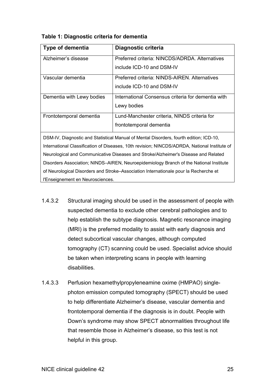| <b>Type of dementia</b>   | Diagnostic criteria                                |
|---------------------------|----------------------------------------------------|
| Alzheimer's disease       | Preferred criteria: NINCDS/ADRDA, Alternatives     |
|                           | include ICD-10 and DSM-IV                          |
| Vascular dementia         | Preferred criteria: NINDS-AIREN. Alternatives      |
|                           | include ICD-10 and DSM-IV                          |
| Dementia with Lewy bodies | International Consensus criteria for dementia with |
|                           | Lewy bodies                                        |
| Frontotemporal dementia   | Lund-Manchester criteria, NINDS criteria for       |
|                           | frontotemporal dementia                            |

**Table 1: Diagnostic criteria for dementia** 

DSM-IV, Diagnostic and Statistical Manual of Mental Disorders, fourth edition; ICD-10, International Classification of Diseases, 10th revision; NINCDS/ADRDA, National Institute of Neurological and Communicative Diseases and Stroke/Alzheimer's Disease and Related Disorders Association; NINDS-AIREN, Neuroepidemiology Branch of the National Institute of Neurological Disorders and Stroke-Association Internationale pour la Recherche et l'Enseignement en Neurosciences.

- 1.4.3.2 Structural imaging should be used in the assessment of people with suspected dementia to exclude other cerebral pathologies and to help establish the subtype diagnosis. Magnetic resonance imaging (MRI) is the preferred modality to assist with early diagnosis and detect subcortical vascular changes, although computed tomography (CT) scanning could be used. Specialist advice should be taken when interpreting scans in people with learning disabilities.
- 1.4.3.3 Perfusion hexamethylpropyleneamine oxime (HMPAO) singlephoton emission computed tomography (SPECT) should be used to help differentiate Alzheimer's disease, vascular dementia and frontotemporal dementia if the diagnosis is in doubt. People with Down's syndrome may show SPECT abnormalities throughout life that resemble those in Alzheimer's disease, so this test is not helpful in this group.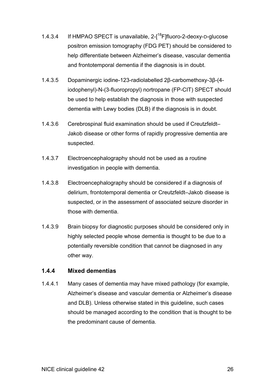- 1.4.3.4 If HMPAO SPECT is unavailable,  $2\text{-}1^{18}$ F]fluoro-2-deoxy-D-glucose positron emission tomography (FDG PET) should be considered to help differentiate between Alzheimer's disease, vascular dementia and frontotemporal dementia if the diagnosis is in doubt.
- 1.4.3.5 Dopaminergic iodine-123-radiolabelled 2ȕ-carbomethoxy-3ȕ-(4 iodophenyl)-N-(3-fluoropropyl) nortropane (FP-CIT) SPECT should be used to help establish the diagnosis in those with suspected dementia with Lewy bodies (DLB) if the diagnosis is in doubt.
- 1.4.3.6 Cerebrospinal fluid examination should be used if Creutzfeldt-Jakob disease or other forms of rapidly progressive dementia are suspected.
- 1.4.3.7 Electroencephalography should not be used as a routine investigation in people with dementia.
- 1.4.3.8 Electroencephalography should be considered if a diagnosis of delirium, frontotemporal dementia or Creutzfeldt-Jakob disease is suspected, or in the assessment of associated seizure disorder in those with dementia.
- 1.4.3.9 Brain biopsy for diagnostic purposes should be considered only in highly selected people whose dementia is thought to be due to a potentially reversible condition that cannot be diagnosed in any other way.

# **1.4.4 Mixed dementias**

1.4.4.1 Many cases of dementia may have mixed pathology (for example, Alzheimer's disease and vascular dementia or Alzheimer's disease and DLB). Unless otherwise stated in this guideline, such cases should be managed according to the condition that is thought to be the predominant cause of dementia.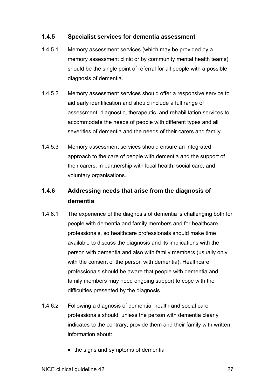#### **1.4.5 Specialist services for dementia assessment**

- 1.4.5.1 Memory assessment services (which may be provided by a memory assessment clinic or by community mental health teams) should be the single point of referral for all people with a possible diagnosis of dementia.
- 1.4.5.2 Memory assessment services should offer a responsive service to aid early identification and should include a full range of assessment, diagnostic, therapeutic, and rehabilitation services to accommodate the needs of people with different types and all severities of dementia and the needs of their carers and family.
- 1.4.5.3 Memory assessment services should ensure an integrated approach to the care of people with dementia and the support of their carers, in partnership with local health, social care, and voluntary organisations.

#### **1.4.6 Addressing needs that arise from the diagnosis of dementia**

- 1.4.6.1 The experience of the diagnosis of dementia is challenging both for people with dementia and family members and for healthcare professionals, so healthcare professionals should make time available to discuss the diagnosis and its implications with the person with dementia and also with family members (usually only with the consent of the person with dementia). Healthcare professionals should be aware that people with dementia and family members may need ongoing support to cope with the difficulties presented by the diagnosis.
- 1.4.6.2 Following a diagnosis of dementia, health and social care professionals should, unless the person with dementia clearly indicates to the contrary, provide them and their family with written information about:
	- the signs and symptoms of dementia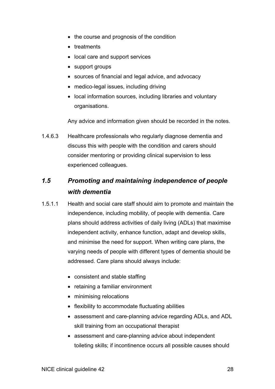- <span id="page-27-0"></span>• the course and prognosis of the condition
- treatments
- local care and support services
- $\bullet$  support groups
- sources of financial and legal advice, and advocacy
- medico-legal issues, including driving
- local information sources, including libraries and voluntary organisations.

Any advice and information given should be recorded in the notes.

1.4.6.3 Healthcare professionals who regularly diagnose dementia and discuss this with people with the condition and carers should consider mentoring or providing clinical supervision to less experienced colleagues.

# *1.5 Promoting and maintaining independence of people with dementia*

- 1.5.1.1 Health and social care staff should aim to promote and maintain the independence, including mobility, of people with dementia. Care plans should address activities of daily living (ADLs) that maximise independent activity, enhance function, adapt and develop skills, and minimise the need for support. When writing care plans, the varying needs of people with different types of dementia should be addressed. Care plans should always include:
	- consistent and stable staffing
	- $\bullet$  retaining a familiar environment
	- minimising relocations
	- flexibility to accommodate fluctuating abilities
	- assessment and care-planning advice regarding ADLs, and ADL skill training from an occupational therapist
	- assessment and care-planning advice about independent toileting skills; if incontinence occurs all possible causes should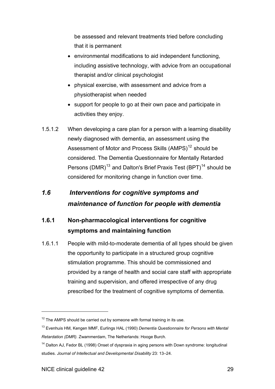<span id="page-28-0"></span>be assessed and relevant treatments tried before concluding that it is permanent

- environmental modifications to aid independent functioning, including assistive technology, with advice from an occupational therapist and/or clinical psychologist
- physical exercise, with assessment and advice from a physiotherapist when needed
- support for people to go at their own pace and participate in activities they enjoy.
- 1.5.1.2 When developing a care plan for a person with a learning disability newly diagnosed with dementia, an assessment using the Assessment of Motor and Process Skills (AMPS)<sup>[12](#page-28-1)</sup> should be considered. The Dementia Questionnaire for Mentally Retarded Persons (DMR)<sup>[13](#page-28-2)</sup> and Dalton's Brief Praxis Test (BPT)<sup>14</sup> should be considered for monitoring change in function over time.

# *1.6 Interventions for cognitive symptoms and maintenance of function for people with dementia*

#### **1.6.1 Non-pharmacological interventions for cognitive symptoms and maintaining function**

1.6.1.1 People with mild-to-moderate dementia of all types should be given the opportunity to participate in a structured group cognitive stimulation programme. This should be commissioned and provided by a range of health and social care staff with appropriate training and supervision, and offered irrespective of any drug prescribed for the treatment of cognitive symptoms of dementia.

<span id="page-28-1"></span> $12$  The AMPS should be carried out by someone with formal training in its use.

<span id="page-28-2"></span><sup>13</sup> Evenhuis HM, Kengen MMF, Eurlings HAL (1990) *Dementia Questionnaire for Persons with Mental Retardation (DMR).* Zwammerdam, The Netherlands: Hooge Burch.

<span id="page-28-3"></span><sup>&</sup>lt;sup>14</sup> Dalton AJ, Fedor BL (1998) Onset of dyspraxia in aging persons with Down syndrome: longitudinal studies. *Journal of Intellectual and Developmental Disability* 23: 13-24.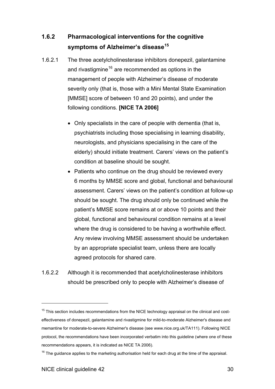#### **1.6.2 Pharmacological interventions for the cognitive symptoms of Alzheimer's disease[15](#page-29-0)**

- 1.6.2.1 The three acetylcholinesterase inhibitors donepezil, galantamine and rivastigmine<sup>[16](#page-29-1)</sup> are recommended as options in the management of people with Alzheimer's disease of moderate severity only (that is, those with a Mini Mental State Examination [MMSE] score of between 10 and 20 points), and under the following conditions. **[NICE TA 2006]**
	- $\bullet$  Only specialists in the care of people with dementia (that is, psychiatrists including those specialising in learning disability, neurologists, and physicians specialising in the care of the elderly) should initiate treatment. Carers' views on the patient's condition at baseline should be sought.
	- Patients who continue on the drug should be reviewed every 6 months by MMSE score and global, functional and behavioural assessment. Carers' views on the patient's condition at follow-up should be sought. The drug should only be continued while the patient's MMSE score remains at or above 10 points and their global, functional and behavioural condition remains at a level where the drug is considered to be having a worthwhile effect. Any review involving MMSE assessment should be undertaken by an appropriate specialist team, unless there are locally agreed protocols for shared care.
- 1.6.2.2 Although it is recommended that acetylcholinesterase inhibitors should be prescribed only to people with Alzheimer's disease of

<span id="page-29-0"></span> $15$  This section includes recommendations from the NICE technology appraisal on the clinical and costeffectiveness of donepezil, galantamine and rivastigmine for mild-to-moderate Alzheimer's disease and memantine for moderate-to-severe Alzheimer's disease (see www.nice.org.uk/TA111). Following NICE protocol, the recommendations have been incorporated verbatim into this guideline (where one of these recommendations appears, it is indicated as NICE TA 2006).

<span id="page-29-1"></span> $16$  The guidance applies to the marketing authorisation held for each drug at the time of the appraisal.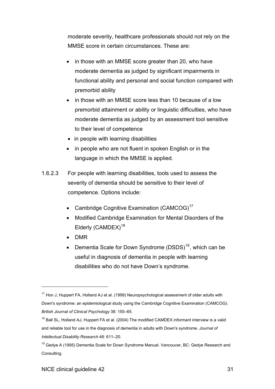moderate severity, healthcare professionals should not rely on the MMSE score in certain circumstances. These are:

- in those with an MMSE score greater than 20, who have moderate dementia as judged by significant impairments in functional ability and personal and social function compared with premorbid ability
- in those with an MMSE score less than 10 because of a low premorbid attainment or ability or linguistic difficulties, who have moderate dementia as judged by an assessment tool sensitive to their level of competence
- $\bullet$  in people with learning disabilities
- in people who are not fluent in spoken English or in the language in which the MMSE is applied.
- 1.6.2.3 For people with learning disabilities, tools used to assess the severity of dementia should be sensitive to their level of competence. Options include:
	- Cambridge Cognitive Examination (CAMCOG) $17$
	- Modified Cambridge Examination for Mental Disorders of the Elderly  $(CAMDEX)^{18}$  $(CAMDEX)^{18}$  $(CAMDEX)^{18}$
	- $\bullet$  DMR

l

• Dementia Scale for Down Syndrome (DSDS)<sup>[19](#page-30-2)</sup>, which can be useful in diagnosis of dementia in people with learning disabilities who do not have Down's syndrome.

<span id="page-30-0"></span><sup>&</sup>lt;sup>17</sup> Hon J, Huppert FA, Holland AJ et al. (1999) Neuropsychological assessment of older adults with Down's syndrome: an epidemiological study using the Cambridge Cognitive Examination (CAMCOG). **British Journal of Clinical Psychology** 38: 155-65.

<span id="page-30-1"></span><sup>&</sup>lt;sup>18</sup> Ball SL, Holland AJ, Huppert FA et al. (2004) The modified CAMDEX informant interview is a valid and reliable tool for use in the diagnosis of dementia in adults with Down's syndrome. *Journal of Intellectual Disability Research 48: 611-20.* 

<span id="page-30-2"></span><sup>&</sup>lt;sup>19</sup> Gedve A (1995) Dementia Scale for Down Svndrome Manual. Vancouver, BC: Gedve Research and Consulting.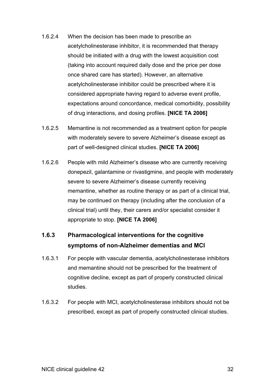- 1.6.2.4 When the decision has been made to prescribe an acetylcholinesterase inhibitor, it is recommended that therapy should be initiated with a drug with the lowest acquisition cost (taking into account required daily dose and the price per dose once shared care has started). However, an alternative acetylcholinesterase inhibitor could be prescribed where it is considered appropriate having regard to adverse event profile, expectations around concordance, medical comorbidity, possibility of drug interactions, and dosing profiles. **[NICE TA 2006]**
- 1.6.2.5 Memantine is not recommended as a treatment option for people with moderately severe to severe Alzheimer's disease except as part of well-designed clinical studies. **[NICE TA 2006]**
- 1.6.2.6 People with mild Alzheimer's disease who are currently receiving donepezil, galantamine or rivastigmine, and people with moderately severe to severe Alzheimer's disease currently receiving memantine, whether as routine therapy or as part of a clinical trial, may be continued on therapy (including after the conclusion of a clinical trial) until they, their carers and/or specialist consider it appropriate to stop. **[NICE TA 2006]**

# **1.6.3 Pharmacological interventions for the cognitive symptoms of non-Alzheimer dementias and MCI**

- 1.6.3.1 For people with vascular dementia, acetylcholinesterase inhibitors and memantine should not be prescribed for the treatment of cognitive decline, except as part of properly constructed clinical studies.
- 1.6.3.2 For people with MCI, acetylcholinesterase inhibitors should not be prescribed, except as part of properly constructed clinical studies.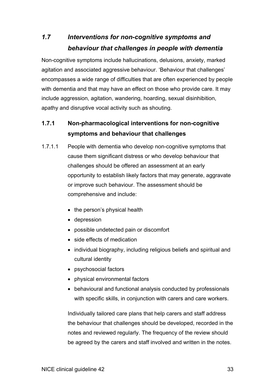# <span id="page-32-0"></span>*1.7 Interventions for non-cognitive symptoms and behaviour that challenges in people with dementia*

Non-cognitive symptoms include hallucinations, delusions, anxiety, marked agitation and associated aggressive behaviour. 'Behaviour that challenges' encompasses a wide range of difficulties that are often experienced by people with dementia and that may have an effect on those who provide care. It may include aggression, agitation, wandering, hoarding, sexual disinhibition, apathy and disruptive vocal activity such as shouting.

# **1.7.1 Non-pharmacological interventions for non-cognitive symptoms and behaviour that challenges**

- 1.7.1.1 People with dementia who develop non-cognitive symptoms that cause them significant distress or who develop behaviour that challenges should be offered an assessment at an early opportunity to establish likely factors that may generate, aggravate or improve such behaviour. The assessment should be comprehensive and include:
	- $\bullet$  the person's physical health
	- $\bullet$  depression
	- possible undetected pain or discomfort
	- side effects of medication
	- individual biography, including religious beliefs and spiritual and cultural identity
	- psychosocial factors
	- physical environmental factors
	- behavioural and functional analysis conducted by professionals with specific skills, in conjunction with carers and care workers.

Individually tailored care plans that help carers and staff address the behaviour that challenges should be developed, recorded in the notes and reviewed regularly. The frequency of the review should be agreed by the carers and staff involved and written in the notes.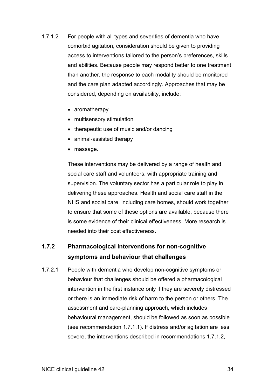- 1.7.1.2 For people with all types and severities of dementia who have comorbid agitation, consideration should be given to providing access to interventions tailored to the person's preferences, skills and abilities. Because people may respond better to one treatment than another, the response to each modality should be monitored and the care plan adapted accordingly. Approaches that may be considered, depending on availability, include:
	- $\bullet$  aromatherapy
	- multisensory stimulation
	- $\bullet$  therapeutic use of music and/or dancing
	- animal-assisted therapy
	- massage.

These interventions may be delivered by a range of health and social care staff and volunteers, with appropriate training and supervision. The voluntary sector has a particular role to play in delivering these approaches. Health and social care staff in the NHS and social care, including care homes, should work together to ensure that some of these options are available, because there is some evidence of their clinical effectiveness. More research is needed into their cost effectiveness.

# **1.7.2 Pharmacological interventions for non-cognitive symptoms and behaviour that challenges**

1.7.2.1 People with dementia who develop non-cognitive symptoms or behaviour that challenges should be offered a pharmacological intervention in the first instance only if they are severely distressed or there is an immediate risk of harm to the person or others. The assessment and care-planning approach, which includes behavioural management, should be followed as soon as possible (see recommendation 1.7.1.1). If distress and/or agitation are less severe, the interventions described in recommendations 1.7.1.2,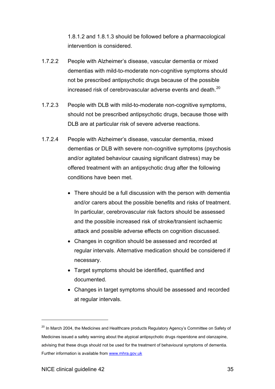1.8.1.2 and 1.8.1.3 should be followed before a pharmacological intervention is considered.

- 1.7.2.2 People with Alzheimer's disease, vascular dementia or mixed dementias with mild-to-moderate non-cognitive symptoms should not be prescribed antipsychotic drugs because of the possible increased risk of cerebrovascular adverse events and death.<sup>[20](#page-34-0)</sup>
- 1.7.2.3 People with DLB with mild-to-moderate non-cognitive symptoms, should not be prescribed antipsychotic drugs, because those with DLB are at particular risk of severe adverse reactions.
- 1.7.2.4 People with Alzheimer's disease, vascular dementia, mixed dementias or DLB with severe non-cognitive symptoms (psychosis and/or agitated behaviour causing significant distress) may be offered treatment with an antipsychotic drug after the following conditions have been met.
	- There should be a full discussion with the person with dementia and/or carers about the possible benefits and risks of treatment. In particular, cerebrovascular risk factors should be assessed and the possible increased risk of stroke/transient ischaemic attack and possible adverse effects on cognition discussed.
	- Changes in cognition should be assessed and recorded at regular intervals. Alternative medication should be considered if necessary.
	- Target symptoms should be identified, quantified and documented.
	- Changes in target symptoms should be assessed and recorded at regular intervals.

<span id="page-34-0"></span><sup>&</sup>lt;sup>20</sup> In March 2004, the Medicines and Healthcare products Regulatory Agency's Committee on Safety of Medicines issued a safety warning about the atypical antipsychotic drugs risperidone and olanzapine, advising that these drugs should not be used for the treatment of behavioural symptoms of dementia. Further information is available from [www.mhra.gov.uk](http://www.mhra.gov.uk/)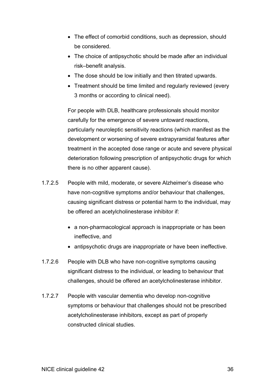- The effect of comorbid conditions, such as depression, should be considered.
- The choice of antipsychotic should be made after an individual risk-benefit analysis.
- The dose should be low initially and then titrated upwards.
- Treatment should be time limited and regularly reviewed (every 3 months or according to clinical need).

For people with DLB, healthcare professionals should monitor carefully for the emergence of severe untoward reactions, particularly neuroleptic sensitivity reactions (which manifest as the development or worsening of severe extrapyramidal features after treatment in the accepted dose range or acute and severe physical deterioration following prescription of antipsychotic drugs for which there is no other apparent cause).

- 1.7.2.5 People with mild, moderate, or severe Alzheimer's disease who have non-cognitive symptoms and/or behaviour that challenges, causing significant distress or potential harm to the individual, may be offered an acetylcholinesterase inhibitor if:
	- a non-pharmacological approach is inappropriate or has been ineffective, and
	- antipsychotic drugs are inappropriate or have been ineffective.
- 1.7.2.6 People with DLB who have non-cognitive symptoms causing significant distress to the individual, or leading to behaviour that challenges, should be offered an acetylcholinesterase inhibitor.
- 1.7.2.7 People with vascular dementia who develop non-cognitive symptoms or behaviour that challenges should not be prescribed acetylcholinesterase inhibitors, except as part of properly constructed clinical studies.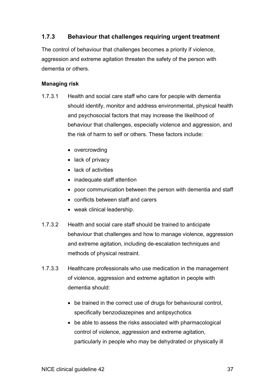# **1.7.3 Behaviour that challenges requiring urgent treatment**

The control of behaviour that challenges becomes a priority if violence, aggression and extreme agitation threaten the safety of the person with dementia or others.

### **Managing risk**

- 1.7.3.1 Health and social care staff who care for people with dementia should identify, monitor and address environmental, physical health and psychosocial factors that may increase the likelihood of behaviour that challenges, especially violence and aggression, and the risk of harm to self or others. These factors include:
	- $\bullet$  overcrowding
	- $\bullet$  lack of privacy
	- $\bullet$  lack of activities
	- inadequate staff attention
	- poor communication between the person with dementia and staff
	- conflicts between staff and carers
	- $\bullet$  weak clinical leadership.
- 1.7.3.2 Health and social care staff should be trained to anticipate behaviour that challenges and how to manage violence, aggression and extreme agitation, including de-escalation techniques and methods of physical restraint.
- 1.7.3.3 Healthcare professionals who use medication in the management of violence, aggression and extreme agitation in people with dementia should:
	- be trained in the correct use of drugs for behavioural control, specifically benzodiazepines and antipsychotics
	- $\bullet$  be able to assess the risks associated with pharmacological control of violence, aggression and extreme agitation, particularly in people who may be dehydrated or physically ill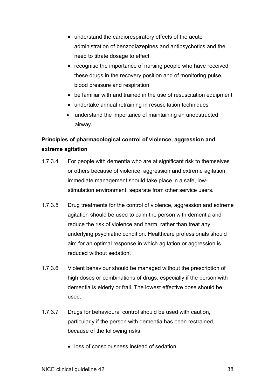- understand the cardiorespiratory effects of the acute administration of benzodiazepines and antipsychotics and the need to titrate dosage to effect
- recognise the importance of nursing people who have received these drugs in the recovery position and of monitoring pulse, blood pressure and respiration
- be familiar with and trained in the use of resuscitation equipment
- undertake annual retraining in resuscitation techniques
- understand the importance of maintaining an unobstructed airway.

# **Principles of pharmacological control of violence, aggression and extreme agitation**

- 1.7.3.4 For people with dementia who are at significant risk to themselves or others because of violence, aggression and extreme agitation, immediate management should take place in a safe, lowstimulation environment, separate from other service users.
- 1.7.3.5 Drug treatments for the control of violence, aggression and extreme agitation should be used to calm the person with dementia and reduce the risk of violence and harm, rather than treat any underlying psychiatric condition. Healthcare professionals should aim for an optimal response in which agitation or aggression is reduced without sedation.
- 1.7.3.6 Violent behaviour should be managed without the prescription of high doses or combinations of drugs, especially if the person with dementia is elderly or frail. The lowest effective dose should be used.
- 1.7.3.7 Drugs for behavioural control should be used with caution, particularly if the person with dementia has been restrained, because of the following risks:
	- loss of consciousness instead of sedation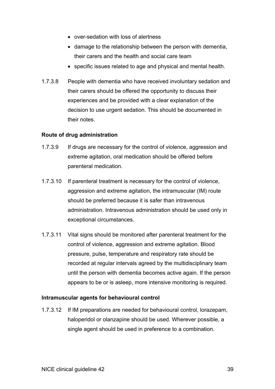- over-sedation with loss of alertness
- damage to the relationship between the person with dementia, their carers and the health and social care team
- specific issues related to age and physical and mental health.
- 1.7.3.8 People with dementia who have received involuntary sedation and their carers should be offered the opportunity to discuss their experiences and be provided with a clear explanation of the decision to use urgent sedation. This should be documented in their notes.

### **Route of drug administration**

- 1.7.3.9 If drugs are necessary for the control of violence, aggression and extreme agitation, oral medication should be offered before parenteral medication.
- 1.7.3.10 If parenteral treatment is necessary for the control of violence, aggression and extreme agitation, the intramuscular (IM) route should be preferred because it is safer than intravenous administration. Intravenous administration should be used only in exceptional circumstances.
- 1.7.3.11 Vital signs should be monitored after parenteral treatment for the control of violence, aggression and extreme agitation. Blood pressure, pulse, temperature and respiratory rate should be recorded at regular intervals agreed by the multidisciplinary team until the person with dementia becomes active again. If the person appears to be or is asleep, more intensive monitoring is required.

### **Intramuscular agents for behavioural control**

1.7.3.12 If IM preparations are needed for behavioural control, lorazepam, haloperidol or olanzapine should be used. Wherever possible, a single agent should be used in preference to a combination.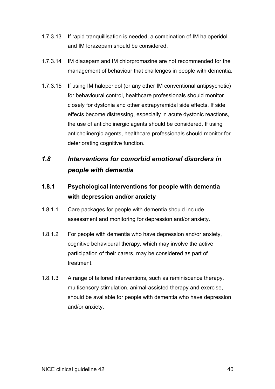- <span id="page-39-0"></span>1.7.3.13 If rapid tranquillisation is needed, a combination of IM haloperidol and IM lorazepam should be considered.
- 1.7.3.14 IM diazepam and IM chlorpromazine are not recommended for the management of behaviour that challenges in people with dementia.
- 1.7.3.15 If using IM haloperidol (or any other IM conventional antipsychotic) for behavioural control, healthcare professionals should monitor closely for dystonia and other extrapyramidal side effects. If side effects become distressing, especially in acute dystonic reactions, the use of anticholinergic agents should be considered. If using anticholinergic agents, healthcare professionals should monitor for deteriorating cognitive function.

# *1.8 Interventions for comorbid emotional disorders in people with dementia*

# **1.8.1 Psychological interventions for people with dementia with depression and/or anxiety**

- 1.8.1.1 Care packages for people with dementia should include assessment and monitoring for depression and/or anxiety.
- 1.8.1.2 For people with dementia who have depression and/or anxiety, cognitive behavioural therapy, which may involve the active participation of their carers, may be considered as part of treatment.
- 1.8.1.3 A range of tailored interventions, such as reminiscence therapy, multisensory stimulation, animal-assisted therapy and exercise, should be available for people with dementia who have depression and/or anxiety.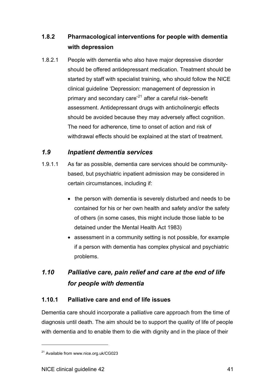#### <span id="page-40-0"></span>**1.8.2 Pharmacological interventions for people with dementia with depression**

1.8.2.1 People with dementia who also have major depressive disorder should be offered antidepressant medication. Treatment should be started by staff with specialist training, who should follow the NICE clinical quideline 'Depression: management of depression in primary and secondary care<sup>[21](#page-40-1)</sup> after a careful risk-benefit assessment. Antidepressant drugs with anticholinergic effects should be avoided because they may adversely affect cognition. The need for adherence, time to onset of action and risk of withdrawal effects should be explained at the start of treatment.

# *1.9 Inpatient dementia services*

- 1.9.1.1 As far as possible, dementia care services should be communitybased, but psychiatric inpatient admission may be considered in certain circumstances, including if:
	- the person with dementia is severely disturbed and needs to be contained for his or her own health and safety and/or the safety of others (in some cases, this might include those liable to be detained under the Mental Health Act 1983)
	- assessment in a community setting is not possible, for example if a person with dementia has complex physical and psychiatric problems.

# *1.10 Palliative care, pain relief and care at the end of life for people with dementia*

#### **1.10.1 Palliative care and end of life issues**

Dementia care should incorporate a palliative care approach from the time of diagnosis until death. The aim should be to support the quality of life of people with dementia and to enable them to die with dignity and in the place of their

<span id="page-40-1"></span><sup>21</sup> Available from www.nice.org.uk/CG023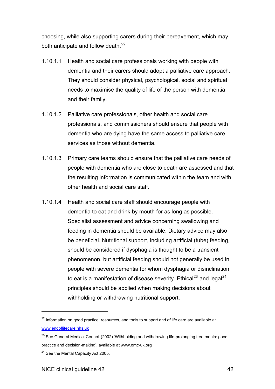choosing, while also supporting carers during their bereavement, which may both anticipate and follow death. $^{22}$  $^{22}$  $^{22}$ 

- 1.10.1.1 Health and social care professionals working with people with dementia and their carers should adopt a palliative care approach. They should consider physical, psychological, social and spiritual needs to maximise the quality of life of the person with dementia and their family.
- 1.10.1.2 Palliative care professionals, other health and social care professionals, and commissioners should ensure that people with dementia who are dying have the same access to palliative care services as those without dementia.
- 1.10.1.3 Primary care teams should ensure that the palliative care needs of people with dementia who are close to death are assessed and that the resulting information is communicated within the team and with other health and social care staff.
- 1.10.1.4 Health and social care staff should encourage people with dementia to eat and drink by mouth for as long as possible. Specialist assessment and advice concerning swallowing and feeding in dementia should be available. Dietary advice may also be beneficial. Nutritional support, including artificial (tube) feeding, should be considered if dysphagia is thought to be a transient phenomenon, but artificial feeding should not generally be used in people with severe dementia for whom dysphagia or disinclination to eat is a manifestation of disease severity. Ethical<sup>[23](#page-41-1)</sup> and legal<sup>[24](#page-41-2)</sup> principles should be applied when making decisions about withholding or withdrawing nutritional support.

<span id="page-41-0"></span><sup>&</sup>lt;sup>22</sup> Information on good practice, resources, and tools to support end of life care are available at [www.endoflifecare.nhs.uk](http://www.endoflifecare.nhs.uk/)

<span id="page-41-1"></span><sup>&</sup>lt;sup>23</sup> See General Medical Council (2002) 'Withholding and withdrawing life-prolonging treatments: good practice and decision-making', available at www.gmc-uk.org

<span id="page-41-2"></span><sup>&</sup>lt;sup>24</sup> See the Mental Capacity Act 2005.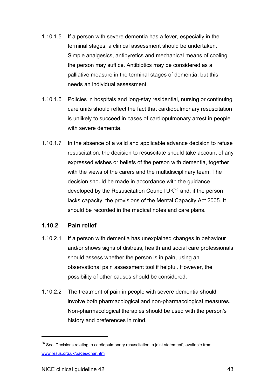- 1.10.1.5 If a person with severe dementia has a fever, especially in the terminal stages, a clinical assessment should be undertaken. Simple analgesics, antipyretics and mechanical means of cooling the person may suffice. Antibiotics may be considered as a palliative measure in the terminal stages of dementia, but this needs an individual assessment.
- 1.10.1.6 Policies in hospitals and long-stay residential, nursing or continuing care units should reflect the fact that cardiopulmonary resuscitation is unlikely to succeed in cases of cardiopulmonary arrest in people with severe dementia.
- 1.10.1.7 In the absence of a valid and applicable advance decision to refuse resuscitation, the decision to resuscitate should take account of any expressed wishes or beliefs of the person with dementia, together with the views of the carers and the multidisciplinary team. The decision should be made in accordance with the guidance developed by the Resuscitation Council  $UK^{25}$  $UK^{25}$  $UK^{25}$  and, if the person lacks capacity, the provisions of the Mental Capacity Act 2005. It should be recorded in the medical notes and care plans.

#### **1.10.2 Pain relief**

- 1.10.2.1 If a person with dementia has unexplained changes in behaviour and/or shows signs of distress, health and social care professionals should assess whether the person is in pain, using an observational pain assessment tool if helpful. However, the possibility of other causes should be considered.
- 1.10.2.2 The treatment of pain in people with severe dementia should involve both pharmacological and non-pharmacological measures. Non-pharmacological therapies should be used with the person's history and preferences in mind.

<span id="page-42-0"></span> $25$  See 'Decisions relating to cardiopulmonary resuscitation: a joint statement', available from [www.resus.org.uk/pages/dnar.htm](file://localhost/Users/tinsleyg/Downloads//C/Documents%20and%20Settings/BThomas/Local%20Settings/Temporary%20Internet%20Files/www.resus.org.uk/pages/infoMain.htm)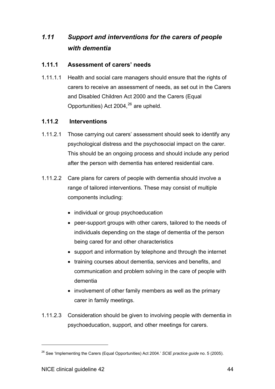# <span id="page-43-0"></span>*1.11 Support and interventions for the carers of people with dementia*

#### **1.11.1 Assessment of carers' needs**

1.11.1.1 Health and social care managers should ensure that the rights of carers to receive an assessment of needs, as set out in the Carers and Disabled Children Act 2000 and the Carers (Equal Opportunities) Act 2004, $^{26}$  $^{26}$  $^{26}$  are upheld.

#### **1.11.2 Interventions**

- 1.11.2.1 Those carrying out carers' assessment should seek to identify any psychological distress and the psychosocial impact on the carer. This should be an ongoing process and should include any period after the person with dementia has entered residential care.
- 1.11.2.2 Care plans for carers of people with dementia should involve a range of tailored interventions. These may consist of multiple components including:
	- individual or group psychoeducation
	- peer-support groups with other carers, tailored to the needs of individuals depending on the stage of dementia of the person being cared for and other characteristics
	- support and information by telephone and through the internet
	- training courses about dementia, services and benefits, and communication and problem solving in the care of people with dementia
	- involvement of other family members as well as the primary carer in family meetings.
- 1.11.2.3 Consideration should be given to involving people with dementia in psychoeducation, support, and other meetings for carers.

<span id="page-43-1"></span><sup>&</sup>lt;sup>26</sup> See 'Implementing the Carers (Equal Opportunities) Act 2004.' SCIE practice guide no. 5 (2005).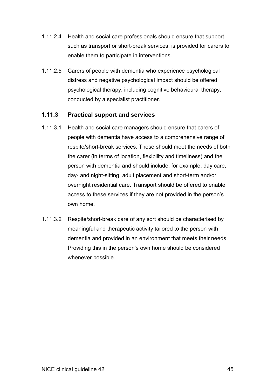- 1.11.2.4 Health and social care professionals should ensure that support, such as transport or short-break services, is provided for carers to enable them to participate in interventions.
- 1.11.2.5 Carers of people with dementia who experience psychological distress and negative psychological impact should be offered psychological therapy, including cognitive behavioural therapy, conducted by a specialist practitioner.

## **1.11.3 Practical support and services**

- 1.11.3.1 Health and social care managers should ensure that carers of people with dementia have access to a comprehensive range of respite/short-break services. These should meet the needs of both the carer (in terms of location, flexibility and timeliness) and the person with dementia and should include, for example, day care, day- and night-sitting, adult placement and short-term and/or overnight residential care. Transport should be offered to enable access to these services if they are not provided in the person's own home.
- 1.11.3.2 Respite/short-break care of any sort should be characterised by meaningful and therapeutic activity tailored to the person with dementia and provided in an environment that meets their needs. Providing this in the person's own home should be considered whenever possible.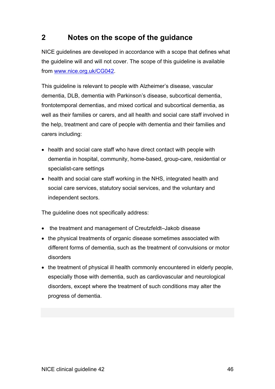# <span id="page-45-0"></span>**2 Notes on the scope of the guidance**

NICE guidelines are developed in accordance with a scope that defines what the guideline will and will not cover. The scope of this guideline is available from [www.nice.org.uk/CG042.](http://www.nice.org.uk/page.aspx?o=225369)

This guideline is relevant to people with Alzheimer's disease, vascular dementia, DLB, dementia with Parkinson's disease, subcortical dementia, frontotemporal dementias, and mixed cortical and subcortical dementia, as well as their families or carers, and all health and social care staff involved in the help, treatment and care of people with dementia and their families and carers including:

- health and social care staff who have direct contact with people with dementia in hospital, community, home-based, group-care, residential or specialist-care settings
- health and social care staff working in the NHS, integrated health and social care services, statutory social services, and the voluntary and independent sectors.

The guideline does not specifically address:

- the treatment and management of Creutzfeldt-Jakob disease
- the physical treatments of organic disease sometimes associated with different forms of dementia, such as the treatment of convulsions or motor disorders
- the treatment of physical ill health commonly encountered in elderly people, especially those with dementia, such as cardiovascular and neurological disorders, except where the treatment of such conditions may alter the progress of dementia.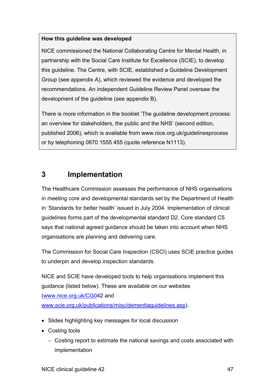## <span id="page-46-0"></span>**How this guideline was developed**

NICE commissioned the National Collaborating Centre for Mental Health, in partnership with the Social Care Institute for Excellence (SCIE), to develop this guideline. The Centre, with SCIE, established a Guideline Development Group (see appendix A), which reviewed the evidence and developed the recommendations. An independent Guideline Review Panel oversaw the development of the guideline (see appendix B).

There is more information in the booklet 'The guideline development process: an overview for stakeholders, the public and the NHS' (second edition, published 2006), which is available from www.nice.org.uk/guidelinesprocess or by telephoning 0870 1555 455 (quote reference N1113).

# **3 Implementation**

The Healthcare Commission assesses the performance of NHS organisations in meeting core and developmental standards set by the Department of Health in 'Standards for better health' issued in July 2004. Implementation of clinical guidelines forms part of the developmental standard D2. Core standard C5 says that national agreed guidance should be taken into account when NHS organisations are planning and delivering care.

The Commission for Social Care Inspection (CSCI) uses SCIE practice guides to underpin and develop inspection standards.

NICE and SCIE have developed tools to help organisations implement this guidance (listed below). These are available on our websites ([www.nice.org.uk/CG04](http://www.nice.org.uk/CG0)2 and [www.scie.org.uk/publications/misc/dementiaguidelines.asp](http://www.scie.org.uk/publications/misc/dementiaguidelines.asp)).

- Slides highlighting key messages for local discussion
- $\bullet$  Costing tools
	- Costing report to estimate the national savings and costs associated with implementation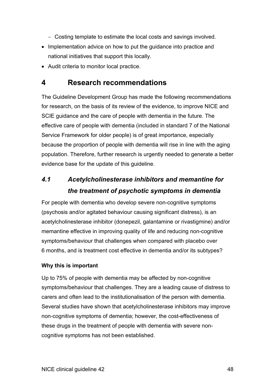- <span id="page-47-0"></span>Costing template to estimate the local costs and savings involved.
- Implementation advice on how to put the guidance into practice and national initiatives that support this locally.
- Audit criteria to monitor local practice.

# **4 Research recommendations**

The Guideline Development Group has made the following recommendations for research, on the basis of its review of the evidence, to improve NICE and SCIE guidance and the care of people with dementia in the future. The effective care of people with dementia (included in standard 7 of the National Service Framework for older people) is of great importance, especially because the proportion of people with dementia will rise in line with the aging population. Therefore, further research is urgently needed to generate a better evidence base for the update of this guideline.

# *4.1 Acetylcholinesterase inhibitors and memantine for the treatment of psychotic symptoms in dementia*

For people with dementia who develop severe non-cognitive symptoms (psychosis and/or agitated behaviour causing significant distress), is an acetylcholinesterase inhibitor (donepezil, galantamine or rivastigmine) and/or memantine effective in improving quality of life and reducing non-cognitive symptoms/behaviour that challenges when compared with placebo over 6 months, and is treatment cost effective in dementia and/or its subtypes?

## **Why this is important**

Up to 75% of people with dementia may be affected by non-cognitive symptoms/behaviour that challenges. They are a leading cause of distress to carers and often lead to the institutionalisation of the person with dementia. Several studies have shown that acetylcholinesterase inhibitors may improve non-cognitive symptoms of dementia; however, the cost-effectiveness of these drugs in the treatment of people with dementia with severe noncognitive symptoms has not been established.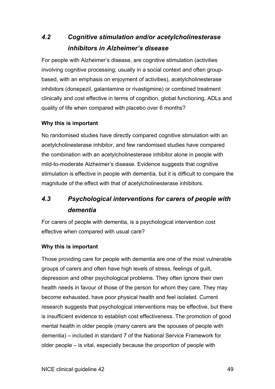# *4.2 Cognitive stimulation and/or acetylcholinesterase inhibitors in Alzheimer's disease*

For people with Alzheimer's disease, are cognitive stimulation (activities involving cognitive processing; usually in a social context and often groupbased, with an emphasis on enjoyment of activities), acetylcholinesterase inhibitors (donepezil, galantamine or rivastigmine) or combined treatment clinically and cost effective in terms of cognition, global functioning, ADLs and quality of life when compared with placebo over 6 months?

# **Why this is important**

No randomised studies have directly compared cognitive stimulation with an acetylcholinesterase inhibitor, and few randomised studies have compared the combination with an acetylcholinesterase inhibitor alone in people with mild-to-moderate Alzheimer's disease. Evidence suggests that cognitive stimulation is effective in people with dementia, but it is difficult to compare the magnitude of the effect with that of acetylcholinesterase inhibitors.

# *4.3 Psychological interventions for carers of people with dementia*

For carers of people with dementia, is a psychological intervention cost effective when compared with usual care?

## **Why this is important**

Those providing care for people with dementia are one of the most vulnerable groups of carers and often have high levels of stress, feelings of guilt, depression and other psychological problems. They often ignore their own health needs in favour of those of the person for whom they care. They may become exhausted, have poor physical health and feel isolated. Current research suggests that psychological interventions may be effective, but there is insufficient evidence to establish cost effectiveness. The promotion of good mental health in older people (many carers are the spouses of people with dementia) – included in standard 7 of the National Service Framework for older people  $-$  is vital, especially because the proportion of people with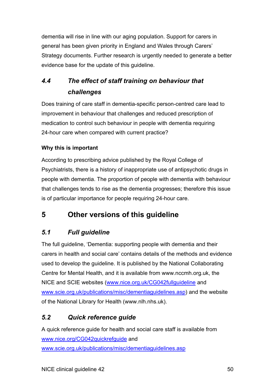<span id="page-49-0"></span>dementia will rise in line with our aging population. Support for carers in general has been given priority in England and Wales through Carers' Strategy documents. Further research is urgently needed to generate a better evidence base for the update of this guideline.

# *4.4 The effect of staff training on behaviour that challenges*

Does training of care staff in dementia-specific person-centred care lead to improvement in behaviour that challenges and reduced prescription of medication to control such behaviour in people with dementia requiring 24-hour care when compared with current practice?

# **Why this is important**

According to prescribing advice published by the Royal College of Psychiatrists, there is a history of inappropriate use of antipsychotic drugs in people with dementia. The proportion of people with dementia with behaviour that challenges tends to rise as the dementia progresses; therefore this issue is of particular importance for people requiring 24-hour care.

# **5 Other versions of this guideline**

# *5.1 Full guideline*

The full guideline, 'Dementia: supporting people with dementia and their carers in health and social care' contains details of the methods and evidence used to develop the guideline. It is published by the National Collaborating Centre for Mental Health, and it is available from www.nccmh.org.uk, the NICE and SCIE websites ([www.nice.org.uk/CG042fullguideline](http://www.nice.org.uk/CG042fullguideline) and [www.scie.org.uk/publications/misc/dementiaguidelines.asp](http://www.scie.org.uk/publications/misc/dementiaguidelines.asp)) and the website of the National Library for Health (www.nlh.nhs.uk).

# *5.2 Quick reference guide*

A quick reference guide for health and social care staff is available from [www.nice.org/CG042quickrefguide](http://www.nice.org/CG042quickrefguide) and [www.scie.org.uk/publications/misc/dementiaguidelines.asp](http://www.scie.org.uk/publications/misc/dementiaguidelines.asp)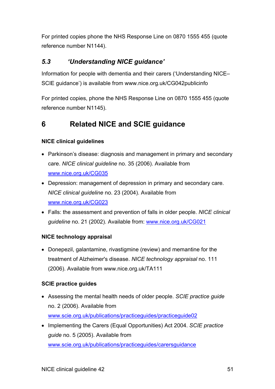<span id="page-50-0"></span>For printed copies phone the NHS Response Line on 0870 1555 455 (quote reference number N1144).

# *5.3 'Understanding NICE guidance'*

Information for people with dementia and their carers ('Understanding NICE-SCIE quidance') is available from www.nice.org.uk/CG042publicinfo

For printed copies, phone the NHS Response Line on 0870 1555 455 (quote reference number N1145).

# **6 Related NICE and SCIE guidance**

# **NICE clinical guidelines**

- Parkinson's disease: diagnosis and management in primary and secondary care. *NICE clinical guideline* no. 35 (2006). Available from [www.nice.org.uk/CG035](http://www.nice.org.uk/CG035)
- Depression: management of depression in primary and secondary care. *NICE clinical guideline* no. 23 (2004). Available from [www.nice.org.uk/CG023](http://www.nice.org.uk/CG023)
- x Falls: the assessment and prevention of falls in older people. *NICE clinical guideline* no. 21 (2002). Available from: [www.nice.org.uk/CG021](http://www.nice.org.uk/CG021)

# **NICE technology appraisal**

• Donepezil, galantamine, rivastigmine (review) and memantine for the treatment of Alzheimer's disease. *NICE technology appraisal* no. 111 (2006). Available from www.nice.org.uk/TA111

# **SCIE practice guides**

- x Assessing the mental health needs of older people. *SCIE practice guide* no. 2 (2006). Available from [www.scie.org.uk/publications/practiceguides/practiceguide02](http://www.scie.org.uk/publications/practiceguides/practiceguide02)
- x Implementing the Carers (Equal Opportunities) Act 2004. *SCIE practice guide* no. 5 (2005). Available from [www.scie.org.uk/publications/practiceguides/carersguidance](http://www.scie.org.uk/publications/details.asp?pubID=46)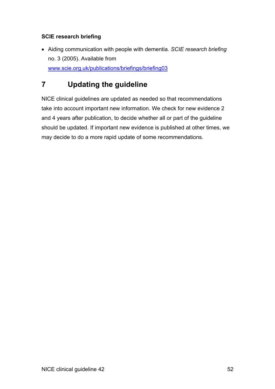# <span id="page-51-0"></span>**SCIE research briefing**

• Aiding communication with people with dementia. *SCIE research briefing* no. 3 (2005). Available from [www.scie.org.uk/publications/briefings/briefing03](http://www.scie.org.uk/publications/briefings/briefing03) 

# **7 Updating the guideline**

NICE clinical guidelines are updated as needed so that recommendations take into account important new information. We check for new evidence 2 and 4 years after publication, to decide whether all or part of the guideline should be updated. If important new evidence is published at other times, we may decide to do a more rapid update of some recommendations.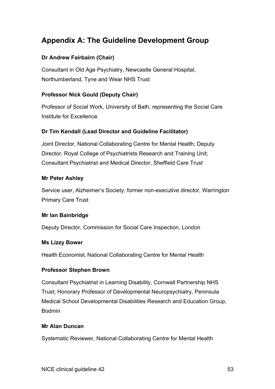# <span id="page-52-0"></span>**Appendix A: The Guideline Development Group**

# **Dr Andrew Fairbairn (Chair)**

Consultant in Old Age Psychiatry, Newcastle General Hospital, Northumberland, Tyne and Wear NHS Trust

# **Professor Nick Gould (Deputy Chair)**

Professor of Social Work, University of Bath, representing the Social Care Institute for Excellence

# **Dr Tim Kendall (Lead Director and Guideline Facilitator)**

Joint Director, National Collaborating Centre for Mental Health; Deputy Director, Royal College of Psychiatrists Research and Training Unit; Consultant Psychiatrist and Medical Director, Sheffield Care Trust

## **Mr Peter Ashley**

Service user, Alzheimer's Society; former non-executive director, Warrington Primary Care Trust

## **Mr Ian Bainbridge**

Deputy Director, Commission for Social Care Inspection, London

## **Ms Lizzy Bower**

Health Economist, National Collaborating Centre for Mental Health

## **Professor Stephen Brown**

Consultant Psychiatrist in Learning Disability, Cornwall Partnership NHS Trust; Honorary Professor of Developmental Neuropsychiatry, Peninsula Medical School Developmental Disabilities Research and Education Group, Bodmin

## **Mr Alan Duncan**

Systematic Reviewer, National Collaborating Centre for Mental Health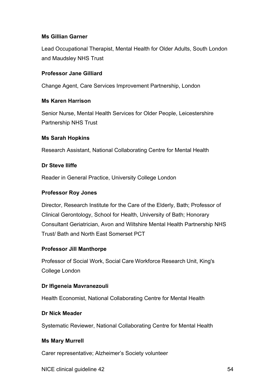## **Ms Gillian Garner**

Lead Occupational Therapist, Mental Health for Older Adults, South London and Maudsley NHS Trust

### **Professor Jane Gilliard**

Change Agent, Care Services Improvement Partnership, London

### **Ms Karen Harrison**

Senior Nurse, Mental Health Services for Older People, Leicestershire Partnership NHS Trust

### **Ms Sarah Hopkins**

Research Assistant, National Collaborating Centre for Mental Health

### **Dr Steve Iliffe**

Reader in General Practice, University College London

### **Professor Roy Jones**

Director, Research Institute for the Care of the Elderly, Bath; Professor of Clinical Gerontology, School for Health, University of Bath; Honorary Consultant Geriatrician, Avon and Wiltshire Mental Health Partnership NHS Trust/ Bath and North East Somerset PCT

## **Professor Jill Manthorpe**

Professor of Social Work, Social Care Workforce Research Unit, King's College London

## **Dr Ifigeneia Mavranezouli**

Health Economist, National Collaborating Centre for Mental Health

### **Dr Nick Meader**

Systematic Reviewer, National Collaborating Centre for Mental Health

### **Ms Mary Murrell**

Carer representative; Alzheimer's Society volunteer

NICE clinical quideline 42 54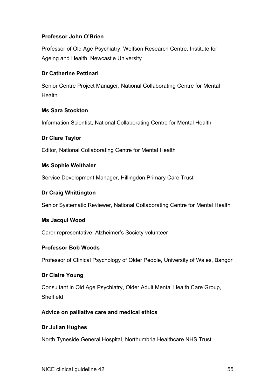## **Professor John O'Brien**

Professor of Old Age Psychiatry, Wolfson Research Centre, Institute for Ageing and Health, Newcastle University

## **Dr Catherine Pettinari**

Senior Centre Project Manager, National Collaborating Centre for Mental Health

## **Ms Sara Stockton**

Information Scientist, National Collaborating Centre for Mental Health

## **Dr Clare Taylor**

Editor, National Collaborating Centre for Mental Health

## **Ms Sophie Weithaler**

Service Development Manager, Hillingdon Primary Care Trust

## **Dr Craig Whittington**

Senior Systematic Reviewer, National Collaborating Centre for Mental Health

## **Ms Jacqui Wood**

Carer representative; Alzheimer's Society volunteer

## **Professor Bob Woods**

Professor of Clinical Psychology of Older People, University of Wales, Bangor

# **Dr Claire Young**

Consultant in Old Age Psychiatry, Older Adult Mental Health Care Group, Sheffield

# **Advice on palliative care and medical ethics**

## **Dr Julian Hughes**

North Tyneside General Hospital, Northumbria Healthcare NHS Trust